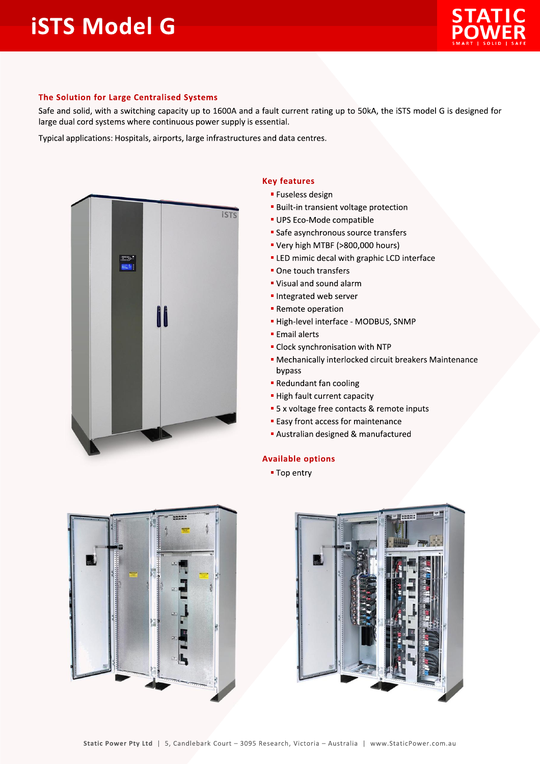## **iSTS Model G**



## The Solution for Large Centralised Systems

Safe and solid, with a switching capacity up to 1600A and a fault current rating up to 50kA, the iSTS model G is designed for large dual cord systems where continuous power supply is essential.

Typical applications: Hospitals, airports, large infrastructures and data centres.



## **Key features**

- **E** Fuseless design
- **Built-in transient voltage protection**
- · UPS Eco-Mode compatible
- Safe asynchronous source transfers
- " Very high MTBF (>800,000 hours)
- **ELED** mimic decal with graphic LCD interface
- One touch transfers
- " Visual and sound alarm
- Integrated web server
- Remote operation
- High-level interface MODBUS, SNMP
- **Email alerts**
- Clock synchronisation with NTP
- Mechanically interlocked circuit breakers Maintenance bypass
- Redundant fan cooling
- High fault current capacity
- 5 x voltage free contacts & remote inputs
- **Easy front access for maintenance**
- Australian designed & manufactured

## **Available options**

■ Top entry